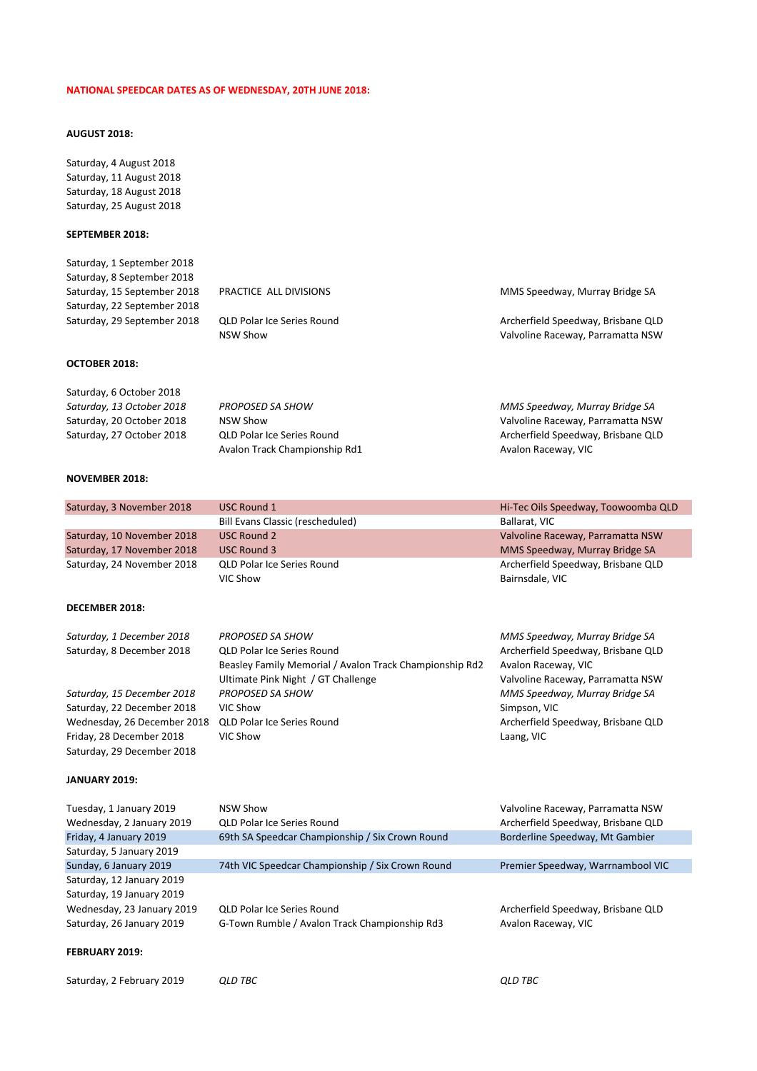## **NATIONAL SPEEDCAR DATES AS OF WEDNESDAY, 20TH JUNE 2018:**

# **AUGUST 2018:**

Saturday, 4 August 2018 Saturday, 11 August 2018 Saturday, 18 August 2018 Saturday, 25 August 2018

## **SEPTEMBER 2018:**

| Saturday, 1 September 2018  |                                   |                                    |
|-----------------------------|-----------------------------------|------------------------------------|
| Saturday, 8 September 2018  |                                   |                                    |
| Saturday, 15 September 2018 | PRACTICE ALL DIVISIONS            | MMS Speedway, Murray Bridge SA     |
| Saturday, 22 September 2018 |                                   |                                    |
| Saturday, 29 September 2018 | <b>QLD Polar Ice Series Round</b> | Archerfield Speedway, Brisbane QLD |
|                             | <b>NSW Show</b>                   | Valvoline Raceway, Parramatta NSW  |
|                             |                                   |                                    |

| Saturday, 6 October 2018  |                               |                                    |
|---------------------------|-------------------------------|------------------------------------|
| Saturday, 13 October 2018 | <b>PROPOSED SA SHOW</b>       | MMS Speedway, Murray Bridge SA     |
| Saturday, 20 October 2018 | NSW Show                      | Valvoline Raceway, Parramatta NSW  |
| Saturday, 27 October 2018 | QLD Polar Ice Series Round    | Archerfield Speedway, Brisbane QLD |
|                           | Avalon Track Championship Rd1 | Avalon Raceway, VIC                |

## **NOVEMBER 2018:**

**OCTOBER 2018:**

| Saturday, 3 November 2018  | USC Round 1                                             | Hi-Tec Oils Speedway, Toowoomba QLD |
|----------------------------|---------------------------------------------------------|-------------------------------------|
|                            | <b>Bill Evans Classic (rescheduled)</b>                 | Ballarat, VIC                       |
| Saturday, 10 November 2018 | <b>USC Round 2</b>                                      | Valvoline Raceway, Parramatta NSW   |
| Saturday, 17 November 2018 | USC Round 3                                             | MMS Speedway, Murray Bridge SA      |
| Saturday, 24 November 2018 | QLD Polar Ice Series Round                              | Archerfield Speedway, Brisbane QLD  |
|                            | VIC Show                                                | Bairnsdale, VIC                     |
| <b>DECEMBER 2018:</b>      |                                                         |                                     |
| Saturday, 1 December 2018  | PROPOSED SA SHOW                                        | MMS Speedway, Murray Bridge SA      |
| Saturday, 8 December 2018  | <b>QLD Polar Ice Series Round</b>                       | Archerfield Speedway, Brisbane QLD  |
|                            | Beasley Family Memorial / Avalon Track Championship Rd2 | Avalon Raceway, VIC                 |
|                            | Ultimate Pink Night / GT Challenge                      | Valvoline Raceway, Parramatta NSW   |

Saturday, 29 December 2018

*Saturday, 15 December 2018 PROPOSED SA SHOW MMS Speedway, Murray Bridge SA* Saturday, 22 December 2018 VIC Show Simpson, VIC Show Simpson, VIC Wednesday, 26 December 2018 QLD Polar Ice Series Round Medicines Archerfield Speedway, Brisbane QLD Friday, 28 December 2018 VIC Show **VIC Show** Laang, VIC

#### **JANUARY 2019:**

| Tuesday, 1 January 2019    | NSW Show                                         | Valvoline Raceway, Parramatta NSW  |
|----------------------------|--------------------------------------------------|------------------------------------|
| Wednesday, 2 January 2019  | <b>QLD Polar Ice Series Round</b>                | Archerfield Speedway, Brisbane QLD |
| Friday, 4 January 2019     | 69th SA Speedcar Championship / Six Crown Round  | Borderline Speedway, Mt Gambier    |
| Saturday, 5 January 2019   |                                                  |                                    |
| Sunday, 6 January 2019     | 74th VIC Speedcar Championship / Six Crown Round | Premier Speedway, Warrnambool VIC  |
| Saturday, 12 January 2019  |                                                  |                                    |
| Saturday, 19 January 2019  |                                                  |                                    |
| Wednesday, 23 January 2019 | <b>QLD Polar Ice Series Round</b>                | Archerfield Speedway, Brisbane QLD |
| Saturday, 26 January 2019  | G-Town Rumble / Avalon Track Championship Rd3    | Avalon Raceway, VIC                |
|                            |                                                  |                                    |
|                            |                                                  |                                    |

### **FEBRUARY 2019:**

| Saturday, 2 February 2019 | <b>QLD TBC</b> | <b>QLD TBC</b> |
|---------------------------|----------------|----------------|
|                           |                |                |